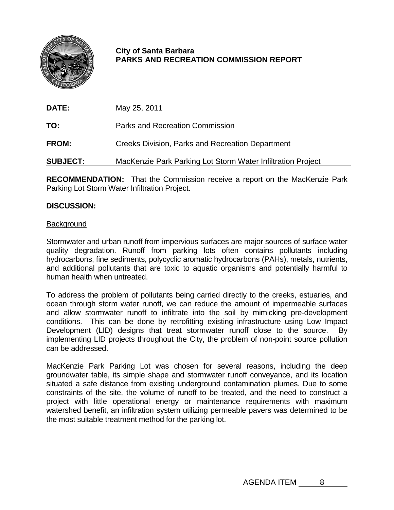

# **City of Santa Barbara PARKS AND RECREATION COMMISSION REPORT**

**DATE:** May 25, 2011

**TO:** Parks and Recreation Commission

**FROM:** Creeks Division, Parks and Recreation Department

**SUBJECT:** MacKenzie Park Parking Lot Storm Water Infiltration Project

**RECOMMENDATION:** That the Commission receive a report on the MacKenzie Park Parking Lot Storm Water Infiltration Project.

## **DISCUSSION:**

#### **Background**

Stormwater and urban runoff from impervious surfaces are major sources of surface water quality degradation. Runoff from parking lots often contains pollutants including hydrocarbons, fine sediments, polycyclic aromatic hydrocarbons (PAHs), metals, nutrients, and additional pollutants that are toxic to aquatic organisms and potentially harmful to human health when untreated.

To address the problem of pollutants being carried directly to the creeks, estuaries, and ocean through storm water runoff, we can reduce the amount of impermeable surfaces and allow stormwater runoff to infiltrate into the soil by mimicking pre-development conditions. This can be done by retrofitting existing infrastructure using Low Impact Development (LID) designs that treat stormwater runoff close to the source. By implementing LID projects throughout the City, the problem of non-point source pollution can be addressed.

MacKenzie Park Parking Lot was chosen for several reasons, including the deep groundwater table, its simple shape and stormwater runoff conveyance, and its location situated a safe distance from existing underground contamination plumes. Due to some constraints of the site, the volume of runoff to be treated, and the need to construct a project with little operational energy or maintenance requirements with maximum watershed benefit, an infiltration system utilizing permeable pavers was determined to be the most suitable treatment method for the parking lot.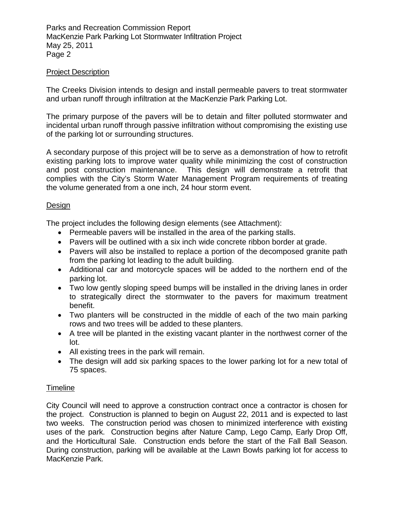Parks and Recreation Commission Report MacKenzie Park Parking Lot Stormwater Infiltration Project May 25, 2011 Page 2

### Project Description

The Creeks Division intends to design and install permeable pavers to treat stormwater and urban runoff through infiltration at the MacKenzie Park Parking Lot.

The primary purpose of the pavers will be to detain and filter polluted stormwater and incidental urban runoff through passive infiltration without compromising the existing use of the parking lot or surrounding structures.

A secondary purpose of this project will be to serve as a demonstration of how to retrofit existing parking lots to improve water quality while minimizing the cost of construction and post construction maintenance. This design will demonstrate a retrofit that complies with the City's Storm Water Management Program requirements of treating the volume generated from a one inch, 24 hour storm event.

#### Design

The project includes the following design elements (see Attachment):

- Permeable pavers will be installed in the area of the parking stalls.
- Pavers will be outlined with a six inch wide concrete ribbon border at grade.
- Pavers will also be installed to replace a portion of the decomposed granite path from the parking lot leading to the adult building.
- Additional car and motorcycle spaces will be added to the northern end of the parking lot.
- Two low gently sloping speed bumps will be installed in the driving lanes in order to strategically direct the stormwater to the pavers for maximum treatment benefit.
- Two planters will be constructed in the middle of each of the two main parking rows and two trees will be added to these planters.
- A tree will be planted in the existing vacant planter in the northwest corner of the lot.
- All existing trees in the park will remain.
- The design will add six parking spaces to the lower parking lot for a new total of 75 spaces.

### **Timeline**

City Council will need to approve a construction contract once a contractor is chosen for the project. Construction is planned to begin on August 22, 2011 and is expected to last two weeks. The construction period was chosen to minimized interference with existing uses of the park. Construction begins after Nature Camp, Lego Camp, Early Drop Off, and the Horticultural Sale. Construction ends before the start of the Fall Ball Season. During construction, parking will be available at the Lawn Bowls parking lot for access to MacKenzie Park.